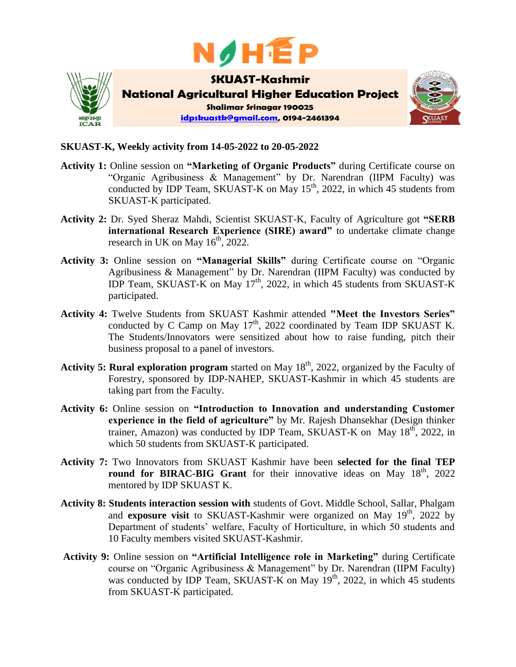



## **SKUAST-K, Weekly activity from 14-05-2022 to 20-05-2022**

- **Activity 1:** Online session on **"Marketing of Organic Products"** during Certificate course on "Organic Agribusiness & Management" by Dr. Narendran (IIPM Faculty) was conducted by IDP Team, SKUAST-K on May  $15<sup>th</sup>$ , 2022, in which 45 students from SKUAST-K participated.
- **Activity 2:** Dr. Syed Sheraz Mahdi, Scientist SKUAST-K, Faculty of Agriculture got **"SERB international Research Experience (SIRE) award"** to undertake climate change research in UK on May  $16^{th}$ , 2022.
- **Activity 3:** Online session on **"Managerial Skills"** during Certificate course on "Organic Agribusiness & Management" by Dr. Narendran (IIPM Faculty) was conducted by IDP Team, SKUAST-K on May 17<sup>th</sup>, 2022, in which 45 students from SKUAST-K participated.
- **Activity 4:** Twelve Students from SKUAST Kashmir attended **"Meet the Investors Series"** conducted by C Camp on May  $17<sup>th</sup>$ , 2022 coordinated by Team IDP SKUAST K. The Students/Innovators were sensitized about how to raise funding, pitch their business proposal to a panel of investors.
- **Activity 5: Rural exploration program** started on May 18<sup>th</sup>, 2022, organized by the Faculty of Forestry, sponsored by IDP-NAHEP, SKUAST-Kashmir in which 45 students are taking part from the Faculty.
- **Activity 6:** Online session on **"Introduction to Innovation and understanding Customer experience in the field of agriculture"** by Mr. Rajesh Dhansekhar (Design thinker trainer, Amazon) was conducted by IDP Team, SKUAST-K on May  $18^{th}$ , 2022, in which 50 students from SKUAST-K participated.
- **Activity 7:** Two Innovators from SKUAST Kashmir have been **selected for the final TEP**  round for BIRAC-BIG Grant for their innovative ideas on May 18<sup>th</sup>, 2022 mentored by IDP SKUAST K.
- **Activity 8: Students interaction session with** students of Govt. Middle School, Sallar, Phalgam and **exposure visit** to SKUAST-Kashmir were organized on May 19<sup>th</sup>, 2022 by Department of students' welfare, Faculty of Horticulture, in which 50 students and 10 Faculty members visited SKUAST-Kashmir.
- **Activity 9:** Online session on **"Artificial Intelligence role in Marketing"** during Certificate course on "Organic Agribusiness & Management" by Dr. Narendran (IIPM Faculty) was conducted by IDP Team, SKUAST-K on May  $19<sup>th</sup>$ , 2022, in which 45 students from SKUAST-K participated.